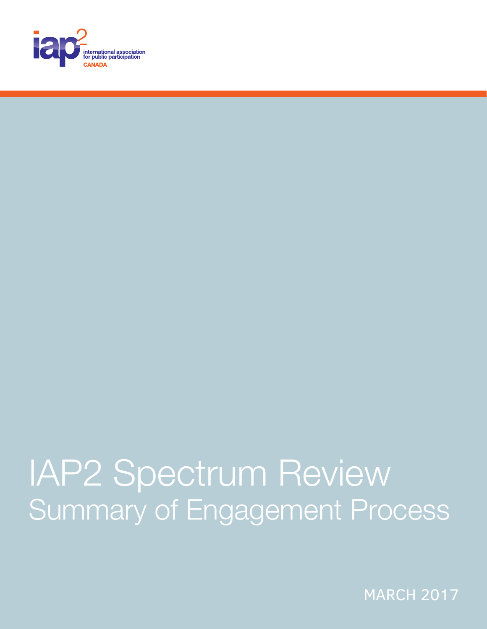

## IAP2 Spectrum Review Summary of Engagement Process

**MARCH 2017**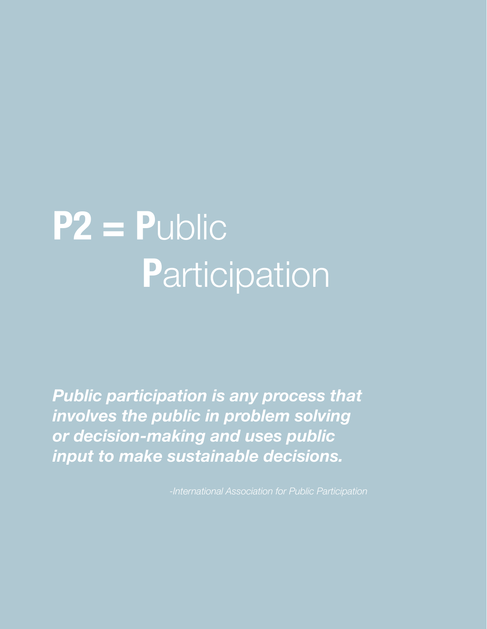# **P2 = P**ublic **P**articipation

*Public participation is any process that involves the public in problem solving or decision-making and uses public input to make sustainable decisions.*

*-International Association for Public Participation*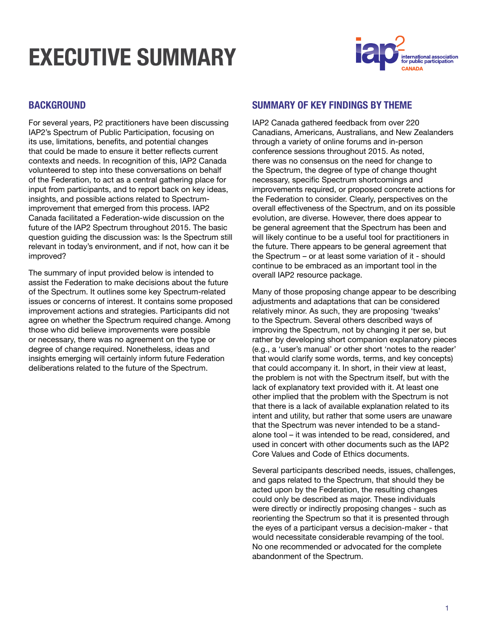## **EXECUTIVE SUI**



#### **BACKGROUND**

For several years, P2 practitioners have been discussing IAP2's Spectrum of Public Participation, focusing on its use, limitations, benefits, and potential changes that could be made to ensure it better reflects current contexts and needs. In recognition of this, IAP2 Canada volunteered to step into these conversations on behalf of the Federation, to act as a central gathering place for input from participants, and to report back on key ideas, insights, and possible actions related to Spectrumimprovement that emerged from this process. IAP2 Canada facilitated a Federation-wide discussion on the future of the IAP2 Spectrum throughout 2015. The basic question guiding the discussion was: Is the Spectrum still relevant in today's environment, and if not, how can it be improved?

The summary of input provided below is intended to assist the Federation to make decisions about the future of the Spectrum. It outlines some key Spectrum-related issues or concerns of interest. It contains some proposed improvement actions and strategies. Participants did not agree on whether the Spectrum required change. Among those who did believe improvements were possible or necessary, there was no agreement on the type or degree of change required. Nonetheless, ideas and insights emerging will certainly inform future Federation deliberations related to the future of the Spectrum.

#### **SUMMARY OF KEY FINDINGS BY THEME**

IAP2 Canada gathered feedback from over 220 Canadians, Americans, Australians, and New Zealanders through a variety of online forums and in-person conference sessions throughout 2015. As noted, there was no consensus on the need for change to the Spectrum, the degree of type of change thought necessary, specific Spectrum shortcomings and improvements required, or proposed concrete actions for the Federation to consider. Clearly, perspectives on the overall effectiveness of the Spectrum, and on its possible evolution, are diverse. However, there does appear to be general agreement that the Spectrum has been and will likely continue to be a useful tool for practitioners in the future. There appears to be general agreement that the Spectrum – or at least some variation of it - should continue to be embraced as an important tool in the overall IAP2 resource package.

Many of those proposing change appear to be describing adjustments and adaptations that can be considered relatively minor. As such, they are proposing 'tweaks' to the Spectrum. Several others described ways of improving the Spectrum, not by changing it per se, but rather by developing short companion explanatory pieces (e.g., a 'user's manual' or other short 'notes to the reader' that would clarify some words, terms, and key concepts) that could accompany it. In short, in their view at least, the problem is not with the Spectrum itself, but with the lack of explanatory text provided with it. At least one other implied that the problem with the Spectrum is not that there is a lack of available explanation related to its intent and utility, but rather that some users are unaware that the Spectrum was never intended to be a standalone tool – it was intended to be read, considered, and used in concert with other documents such as the IAP2 Core Values and Code of Ethics documents.

Several participants described needs, issues, challenges, and gaps related to the Spectrum, that should they be acted upon by the Federation, the resulting changes could only be described as major. These individuals were directly or indirectly proposing changes - such as reorienting the Spectrum so that it is presented through the eyes of a participant versus a decision-maker - that would necessitate considerable revamping of the tool. No one recommended or advocated for the complete abandonment of the Spectrum.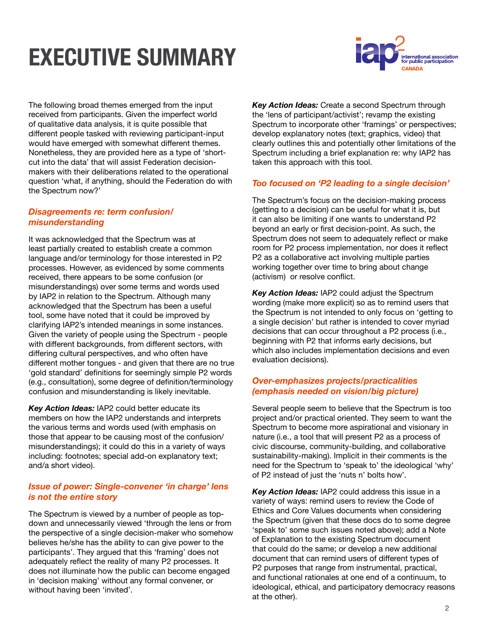## **EXECUTIVE SUI**



The following broad themes emerged from the input received from participants. Given the imperfect world of qualitative data analysis, it is quite possible that different people tasked with reviewing participant-input would have emerged with somewhat different themes. Nonetheless, they are provided here as a type of 'shortcut into the data' that will assist Federation decisionmakers with their deliberations related to the operational question 'what, if anything, should the Federation do with the Spectrum now?'

#### *Disagreements re: term confusion/ misunderstanding*

It was acknowledged that the Spectrum was at least partially created to establish create a common language and/or terminology for those interested in P2 processes. However, as evidenced by some comments received, there appears to be some confusion (or misunderstandings) over some terms and words used by IAP2 in relation to the Spectrum. Although many acknowledged that the Spectrum has been a useful tool, some have noted that it could be improved by clarifying IAP2's intended meanings in some instances. Given the variety of people using the Spectrum - people with different backgrounds, from different sectors, with differing cultural perspectives, and who often have different mother tongues - and given that there are no true 'gold standard' definitions for seemingly simple P2 words (e.g., consultation), some degree of definition/terminology confusion and misunderstanding is likely inevitable.

*Key Action Ideas:* IAP2 could better educate its members on how the IAP2 understands and interprets the various terms and words used (with emphasis on those that appear to be causing most of the confusion/ misunderstandings); it could do this in a variety of ways including: footnotes; special add-on explanatory text; and/a short video).

#### *Issue of power: Single-convener 'in charge' lens is not the entire story*

The Spectrum is viewed by a number of people as topdown and unnecessarily viewed 'through the lens or from the perspective of a single decision-maker who somehow believes he/she has the ability to can give power to the participants'. They argued that this 'framing' does not adequately reflect the reality of many P2 processes. It does not illuminate how the public can become engaged in 'decision making' without any formal convener, or without having been 'invited'.

*Key Action Ideas:* Create a second Spectrum through the 'lens of participant/activist'; revamp the existing Spectrum to incorporate other 'framings' or perspectives; develop explanatory notes (text; graphics, video) that clearly outlines this and potentially other limitations of the Spectrum including a brief explanation re: why IAP2 has taken this approach with this tool.

#### *Too focused on 'P2 leading to a single decision'*

The Spectrum's focus on the decision-making process (getting to a decision) can be useful for what it is, but it can also be limiting if one wants to understand P2 beyond an early or first decision-point. As such, the Spectrum does not seem to adequately reflect or make room for P2 process implementation, nor does it reflect P2 as a collaborative act involving multiple parties working together over time to bring about change (activism) or resolve conflict.

*Key Action Ideas:* IAP2 could adjust the Spectrum wording (make more explicit) so as to remind users that the Spectrum is not intended to only focus on 'getting to a single decision' but rather is intended to cover myriad decisions that can occur throughout a P2 process (i.e., beginning with P2 that informs early decisions, but which also includes implementation decisions and even evaluation decisions).

#### *Over-emphasizes projects/practicalities (emphasis needed on vision/big picture)*

Several people seem to believe that the Spectrum is too project and/or practical oriented. They seem to want the Spectrum to become more aspirational and visionary in nature (i.e., a tool that will present P2 as a process of civic discourse, community-building, and collaborative sustainability-making). Implicit in their comments is the need for the Spectrum to 'speak to' the ideological 'why' of P2 instead of just the 'nuts n' bolts how'.

*Key Action Ideas:* IAP2 could address this issue in a variety of ways: remind users to review the Code of Ethics and Core Values documents when considering the Spectrum (given that these docs do to some degree 'speak to' some such issues noted above); add a Note of Explanation to the existing Spectrum document that could do the same; or develop a new additional document that can remind users of different types of P2 purposes that range from instrumental, practical, and functional rationales at one end of a continuum, to ideological, ethical, and participatory democracy reasons at the other).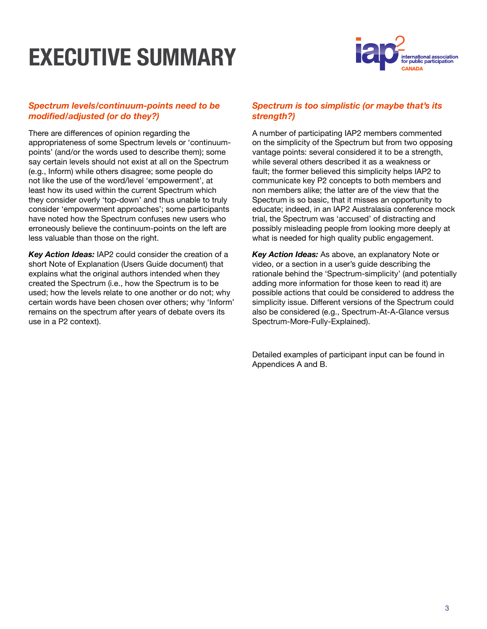## **EXECUTIVE SUI**



#### *Spectrum levels/continuum-points need to be modified/adjusted (or do they?)*

There are differences of opinion regarding the appropriateness of some Spectrum levels or 'continuumpoints' (and/or the words used to describe them); some say certain levels should not exist at all on the Spectrum (e.g., Inform) while others disagree; some people do not like the use of the word/level 'empowerment', at least how its used within the current Spectrum which they consider overly 'top-down' and thus unable to truly consider 'empowerment approaches'; some participants have noted how the Spectrum confuses new users who erroneously believe the continuum-points on the left are less valuable than those on the right.

*Key Action Ideas:* IAP2 could consider the creation of a short Note of Explanation (Users Guide document) that explains what the original authors intended when they created the Spectrum (i.e., how the Spectrum is to be used; how the levels relate to one another or do not; why certain words have been chosen over others; why 'Inform' remains on the spectrum after years of debate overs its use in a P2 context).

#### *Spectrum is too simplistic (or maybe that's its strength?)*

A number of participating IAP2 members commented on the simplicity of the Spectrum but from two opposing vantage points: several considered it to be a strength, while several others described it as a weakness or fault; the former believed this simplicity helps IAP2 to communicate key P2 concepts to both members and non members alike; the latter are of the view that the Spectrum is so basic, that it misses an opportunity to educate; indeed, in an IAP2 Australasia conference mock trial, the Spectrum was 'accused' of distracting and possibly misleading people from looking more deeply at what is needed for high quality public engagement.

*Key Action Ideas:* As above, an explanatory Note or video, or a section in a user's guide describing the rationale behind the 'Spectrum-simplicity' (and potentially adding more information for those keen to read it) are possible actions that could be considered to address the simplicity issue. Different versions of the Spectrum could also be considered (e.g., Spectrum-At-A-Glance versus Spectrum-More-Fully-Explained).

Detailed examples of participant input can be found in Appendices A and B.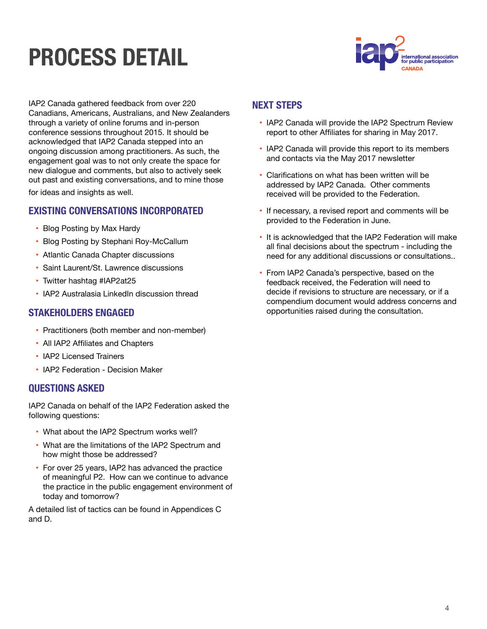## **PROCESS DE**



IAP2 Canada gathered feedback from over 220 Canadians, Americans, Australians, and New Zealanders through a variety of online forums and in-person conference sessions throughout 2015. It should be acknowledged that IAP2 Canada stepped into an ongoing discussion among practitioners. As such, the engagement goal was to not only create the space for new dialogue and comments, but also to actively seek out past and existing conversations, and to mine those

for ideas and insights as well.

#### **EXISTING CONVERSATIONS INCORPORATED**

- Blog Posting by Max Hardy
- Blog Posting by Stephani Roy-McCallum
- Atlantic Canada Chapter discussions
- Saint Laurent/St. Lawrence discussions
- Twitter hashtag #IAP2at25
- IAP2 Australasia LinkedIn discussion thread

#### **STAKEHOLDERS ENGAGED**

- Practitioners (both member and non-member)
- All IAP2 Affiliates and Chapters
- IAP2 Licensed Trainers
- IAP2 Federation Decision Maker

#### **QUESTIONS ASKED**

IAP2 Canada on behalf of the IAP2 Federation asked the following questions:

- What about the IAP2 Spectrum works well?
- What are the limitations of the IAP2 Spectrum and how might those be addressed?
- For over 25 years, IAP2 has advanced the practice of meaningful P2. How can we continue to advance the practice in the public engagement environment of today and tomorrow?

A detailed list of tactics can be found in Appendices C and D.

#### **NEXT STEPS**

- IAP2 Canada will provide the IAP2 Spectrum Review report to other Affiliates for sharing in May 2017.
- IAP2 Canada will provide this report to its members and contacts via the May 2017 newsletter
- Clarifications on what has been written will be addressed by IAP2 Canada. Other comments received will be provided to the Federation.
- If necessary, a revised report and comments will be provided to the Federation in June.
- It is acknowledged that the IAP2 Federation will make all final decisions about the spectrum - including the need for any additional discussions or consultations..
- From IAP2 Canada's perspective, based on the feedback received, the Federation will need to decide if revisions to structure are necessary, or if a compendium document would address concerns and opportunities raised during the consultation.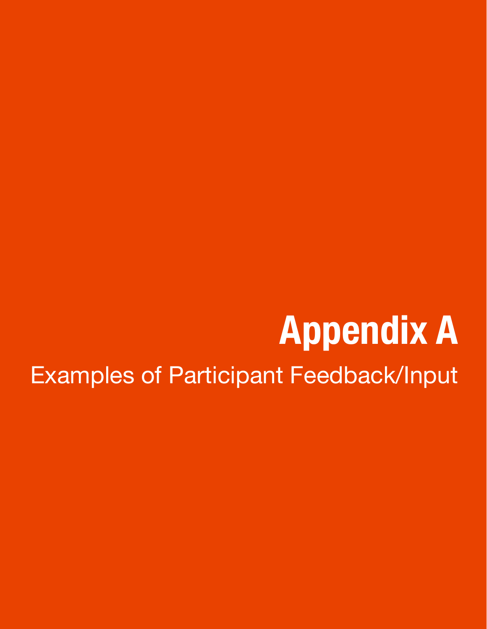# **Appendix A** Examples of Participant Feedback/Input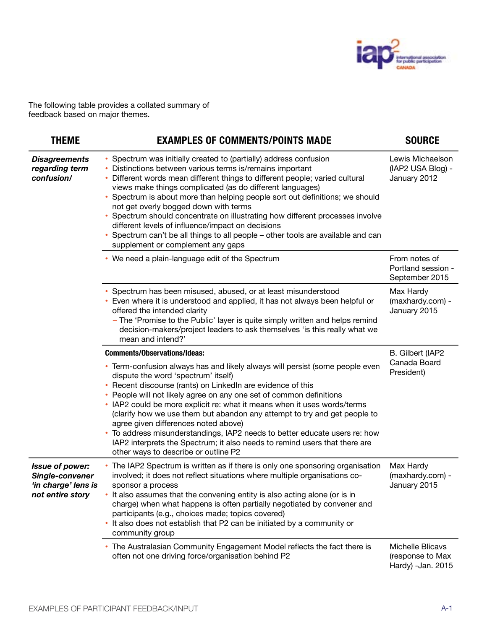

The following table provides a collated summary of feedback based on major themes.

| <b>THEME</b>                                                                  | <b>EXAMPLES OF COMMENTS/POINTS MADE</b>                                                                                                                                                                                                                                                                                                                                                                                                                                                                                                                                                                                                                                                              | <b>SOURCE</b>                                             |
|-------------------------------------------------------------------------------|------------------------------------------------------------------------------------------------------------------------------------------------------------------------------------------------------------------------------------------------------------------------------------------------------------------------------------------------------------------------------------------------------------------------------------------------------------------------------------------------------------------------------------------------------------------------------------------------------------------------------------------------------------------------------------------------------|-----------------------------------------------------------|
| <b>Disagreements</b><br>regarding term<br>confusion/                          | • Spectrum was initially created to (partially) address confusion<br>Distinctions between various terms is/remains important<br>Different words mean different things to different people; varied cultural<br>views make things complicated (as do different languages)<br>• Spectrum is about more than helping people sort out definitions; we should<br>not get overly bogged down with terms<br>• Spectrum should concentrate on illustrating how different processes involve<br>different levels of influence/impact on decisions<br>Spectrum can't be all things to all people – other tools are available and can<br>supplement or complement any gaps                                        | Lewis Michaelson<br>(IAP2 USA Blog) -<br>January 2012     |
|                                                                               | • We need a plain-language edit of the Spectrum                                                                                                                                                                                                                                                                                                                                                                                                                                                                                                                                                                                                                                                      | From notes of<br>Portland session -<br>September 2015     |
|                                                                               | • Spectrum has been misused, abused, or at least misunderstood<br>Even where it is understood and applied, it has not always been helpful or<br>offered the intended clarity<br>- The 'Promise to the Public' layer is quite simply written and helps remind<br>decision-makers/project leaders to ask themselves 'is this really what we<br>mean and intend?'                                                                                                                                                                                                                                                                                                                                       | Max Hardy<br>(maxhardy.com) -<br>January 2015             |
|                                                                               | <b>Comments/Observations/Ideas:</b><br>• Term-confusion always has and likely always will persist (some people even<br>dispute the word 'spectrum' itself)<br>Recent discourse (rants) on LinkedIn are evidence of this<br>People will not likely agree on any one set of common definitions<br>• IAP2 could be more explicit re: what it means when it uses words/terms<br>(clarify how we use them but abandon any attempt to try and get people to<br>agree given differences noted above)<br>To address misunderstandings, IAP2 needs to better educate users re: how<br>٠<br>IAP2 interprets the Spectrum; it also needs to remind users that there are<br>other ways to describe or outline P2 | B. Gilbert (IAP2<br>Canada Board<br>President)            |
| Issue of power:<br>Single-convener<br>'in charge' lens is<br>not entire story | The IAP2 Spectrum is written as if there is only one sponsoring organisation<br>involved; it does not reflect situations where multiple organisations co-<br>sponsor a process<br>• It also assumes that the convening entity is also acting alone (or is in<br>charge) when what happens is often partially negotiated by convener and<br>participants (e.g., choices made; topics covered)<br>It also does not establish that P2 can be initiated by a community or<br>٠<br>community group                                                                                                                                                                                                        | Max Hardy<br>(maxhardy.com) -<br>January 2015             |
|                                                                               | • The Australasian Community Engagement Model reflects the fact there is<br>often not one driving force/organisation behind P2                                                                                                                                                                                                                                                                                                                                                                                                                                                                                                                                                                       | Michelle Blicavs<br>(response to Max<br>Hardy) -Jan. 2015 |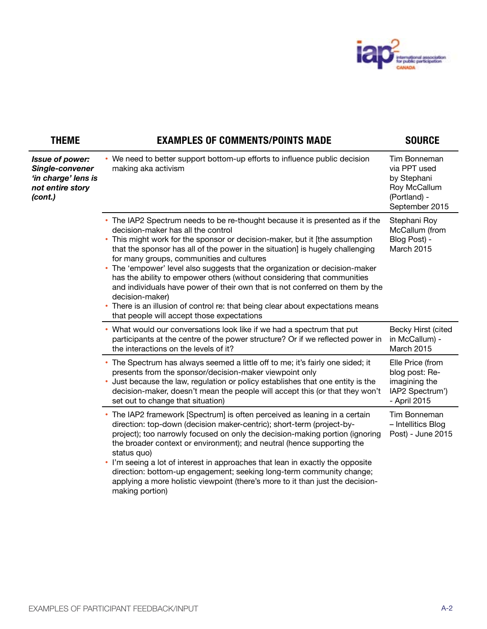

| <b>THEME</b>                                                                             | <b>EXAMPLES OF COMMENTS/POINTS MADE</b>                                                                                                                                                                                                                                                                                                                                                                                                                                                                                                                                                                                                                                                                                                        | <b>SOURCE</b>                                                                                 |
|------------------------------------------------------------------------------------------|------------------------------------------------------------------------------------------------------------------------------------------------------------------------------------------------------------------------------------------------------------------------------------------------------------------------------------------------------------------------------------------------------------------------------------------------------------------------------------------------------------------------------------------------------------------------------------------------------------------------------------------------------------------------------------------------------------------------------------------------|-----------------------------------------------------------------------------------------------|
| Issue of power:<br>Single-convener<br>'in charge' lens is<br>not entire story<br>(cont.) | • We need to better support bottom-up efforts to influence public decision<br>making aka activism                                                                                                                                                                                                                                                                                                                                                                                                                                                                                                                                                                                                                                              | Tim Bonneman<br>via PPT used<br>by Stephani<br>Roy McCallum<br>(Portland) -<br>September 2015 |
|                                                                                          | • The IAP2 Spectrum needs to be re-thought because it is presented as if the<br>decision-maker has all the control<br>This might work for the sponsor or decision-maker, but it [the assumption<br>$\bullet$<br>that the sponsor has all of the power in the situation] is hugely challenging<br>for many groups, communities and cultures<br>The 'empower' level also suggests that the organization or decision-maker<br>٠<br>has the ability to empower others (without considering that communities<br>and individuals have power of their own that is not conferred on them by the<br>decision-maker)<br>There is an illusion of control re: that being clear about expectations means<br>٠<br>that people will accept those expectations | Stephani Roy<br>McCallum (from<br>Blog Post) -<br>March 2015                                  |
|                                                                                          | • What would our conversations look like if we had a spectrum that put<br>participants at the centre of the power structure? Or if we reflected power in<br>the interactions on the levels of it?                                                                                                                                                                                                                                                                                                                                                                                                                                                                                                                                              | Becky Hirst (cited<br>in McCallum) -<br>March 2015                                            |
|                                                                                          | • The Spectrum has always seemed a little off to me; it's fairly one sided; it<br>presents from the sponsor/decision-maker viewpoint only<br>Just because the law, regulation or policy establishes that one entity is the<br>decision-maker, doesn't mean the people will accept this (or that they won't<br>set out to change that situation)                                                                                                                                                                                                                                                                                                                                                                                                | Elle Price (from<br>blog post: Re-<br>imagining the<br>IAP2 Spectrum')<br>- April 2015        |
|                                                                                          | • The IAP2 framework [Spectrum] is often perceived as leaning in a certain<br>direction: top-down (decision maker-centric); short-term (project-by-<br>project); too narrowly focused on only the decision-making portion (ignoring<br>the broader context or environment); and neutral (hence supporting the<br>status quo)<br>. I'm seeing a lot of interest in approaches that lean in exactly the opposite<br>direction: bottom-up engagement; seeking long-term community change;<br>applying a more holistic viewpoint (there's more to it than just the decision-<br>making portion)                                                                                                                                                    | Tim Bonneman<br>- Intellitics Blog<br>Post) - June 2015                                       |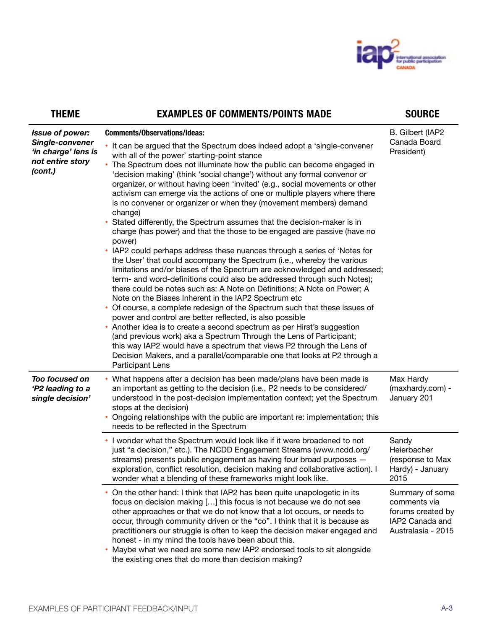

| <b>THEME</b>                                                                                    | <b>EXAMPLES OF COMMENTS/POINTS MADE</b>                                                                                                                                                                                                                                                                                                                                                                                                                                                                                                                                                                                                                                                                                                                                                                                                                                                                                                                                                                                                                                                                                                                                                                                                                                                                                                                                                                                                                                                                                                                                                                                                                         | <b>SOURCE</b>                                                                                 |
|-------------------------------------------------------------------------------------------------|-----------------------------------------------------------------------------------------------------------------------------------------------------------------------------------------------------------------------------------------------------------------------------------------------------------------------------------------------------------------------------------------------------------------------------------------------------------------------------------------------------------------------------------------------------------------------------------------------------------------------------------------------------------------------------------------------------------------------------------------------------------------------------------------------------------------------------------------------------------------------------------------------------------------------------------------------------------------------------------------------------------------------------------------------------------------------------------------------------------------------------------------------------------------------------------------------------------------------------------------------------------------------------------------------------------------------------------------------------------------------------------------------------------------------------------------------------------------------------------------------------------------------------------------------------------------------------------------------------------------------------------------------------------------|-----------------------------------------------------------------------------------------------|
| <b>Issue of power:</b><br>Single-convener<br>'in charge' lens is<br>not entire story<br>(cont.) | <b>Comments/Observations/Ideas:</b><br>• It can be argued that the Spectrum does indeed adopt a 'single-convener<br>with all of the power' starting-point stance<br>The Spectrum does not illuminate how the public can become engaged in<br>'decision making' (think 'social change') without any formal convenor or<br>organizer, or without having been 'invited' (e.g., social movements or other<br>activism can emerge via the actions of one or multiple players where there<br>is no convener or organizer or when they (movement members) demand<br>change)<br>Stated differently, the Spectrum assumes that the decision-maker is in<br>charge (has power) and that the those to be engaged are passive (have no<br>power)<br>IAP2 could perhaps address these nuances through a series of 'Notes for<br>٠<br>the User' that could accompany the Spectrum (i.e., whereby the various<br>limitations and/or biases of the Spectrum are acknowledged and addressed;<br>term- and word-definitions could also be addressed through such Notes);<br>there could be notes such as: A Note on Definitions; A Note on Power; A<br>Note on the Biases Inherent in the IAP2 Spectrum etc<br>• Of course, a complete redesign of the Spectrum such that these issues of<br>power and control are better reflected, is also possible<br>• Another idea is to create a second spectrum as per Hirst's suggestion<br>(and previous work) aka a Spectrum Through the Lens of Participant;<br>this way IAP2 would have a spectrum that views P2 through the Lens of<br>Decision Makers, and a parallel/comparable one that looks at P2 through a<br>Participant Lens | B. Gilbert (IAP2<br>Canada Board<br>President)                                                |
| Too focused on<br>'P2 leading to a<br>single decision'                                          | What happens after a decision has been made/plans have been made is<br>an important as getting to the decision (i.e., P2 needs to be considered/<br>understood in the post-decision implementation context; yet the Spectrum<br>stops at the decision)<br>Ongoing relationships with the public are important re: implementation; this<br>needs to be reflected in the Spectrum<br>. I wonder what the Spectrum would look like if it were broadened to not<br>just "a decision," etc.). The NCDD Engagement Streams (www.ncdd.org/<br>streams) presents public engagement as having four broad purposes -                                                                                                                                                                                                                                                                                                                                                                                                                                                                                                                                                                                                                                                                                                                                                                                                                                                                                                                                                                                                                                                      | Max Hardy<br>(maxhardy.com) -<br>January 201<br>Sandy<br>Heierbacher<br>(response to Max      |
|                                                                                                 | exploration, conflict resolution, decision making and collaborative action). I<br>wonder what a blending of these frameworks might look like.                                                                                                                                                                                                                                                                                                                                                                                                                                                                                                                                                                                                                                                                                                                                                                                                                                                                                                                                                                                                                                                                                                                                                                                                                                                                                                                                                                                                                                                                                                                   | Hardy) - January<br>2015                                                                      |
|                                                                                                 | • On the other hand: I think that IAP2 has been quite unapologetic in its<br>focus on decision making [] this focus is not because we do not see<br>other approaches or that we do not know that a lot occurs, or needs to<br>occur, through community driven or the "co". I think that it is because as<br>practitioners our struggle is often to keep the decision maker engaged and<br>honest - in my mind the tools have been about this.<br>Maybe what we need are some new IAP2 endorsed tools to sit alongside<br>٠<br>the existing ones that do more than decision making?                                                                                                                                                                                                                                                                                                                                                                                                                                                                                                                                                                                                                                                                                                                                                                                                                                                                                                                                                                                                                                                                              | Summary of some<br>comments via<br>forums created by<br>IAP2 Canada and<br>Australasia - 2015 |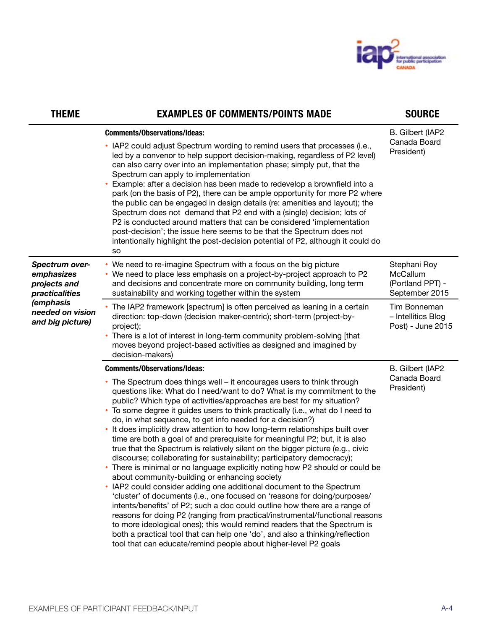

| <b>THEME</b>                                                                                                               | <b>EXAMPLES OF COMMENTS/POINTS MADE</b>                                                                                                                                                                                                                                                                                                                                                                                                                                                                                                                                                                                                                                                                                                                                                                                                                                                                                                                                                                                                                                                                                                                                                                                                                                                                                                                                                                                            | <b>SOURCE</b>                                                                                                             |
|----------------------------------------------------------------------------------------------------------------------------|------------------------------------------------------------------------------------------------------------------------------------------------------------------------------------------------------------------------------------------------------------------------------------------------------------------------------------------------------------------------------------------------------------------------------------------------------------------------------------------------------------------------------------------------------------------------------------------------------------------------------------------------------------------------------------------------------------------------------------------------------------------------------------------------------------------------------------------------------------------------------------------------------------------------------------------------------------------------------------------------------------------------------------------------------------------------------------------------------------------------------------------------------------------------------------------------------------------------------------------------------------------------------------------------------------------------------------------------------------------------------------------------------------------------------------|---------------------------------------------------------------------------------------------------------------------------|
|                                                                                                                            | <b>Comments/Observations/Ideas:</b><br>• IAP2 could adjust Spectrum wording to remind users that processes (i.e.,<br>led by a convenor to help support decision-making, regardless of P2 level)<br>can also carry over into an implementation phase; simply put, that the<br>Spectrum can apply to implementation<br>• Example: after a decision has been made to redevelop a brownfield into a<br>park (on the basis of P2), there can be ample opportunity for more P2 where<br>the public can be engaged in design details (re: amenities and layout); the<br>Spectrum does not demand that P2 end with a (single) decision; lots of<br>P2 is conducted around matters that can be considered 'implementation<br>post-decision'; the issue here seems to be that the Spectrum does not<br>intentionally highlight the post-decision potential of P2, although it could do<br>so                                                                                                                                                                                                                                                                                                                                                                                                                                                                                                                                                 | B. Gilbert (IAP2<br>Canada Board<br>President)                                                                            |
| Spectrum over-<br>emphasizes<br>projects and<br>practicalities<br><i>(emphasis</i><br>needed on vision<br>and big picture) | • We need to re-imagine Spectrum with a focus on the big picture<br>• We need to place less emphasis on a project-by-project approach to P2<br>and decisions and concentrate more on community building, long term<br>sustainability and working together within the system<br>• The IAP2 framework [spectrum] is often perceived as leaning in a certain<br>direction: top-down (decision maker-centric); short-term (project-by-<br>project);<br>• There is a lot of interest in long-term community problem-solving [that<br>moves beyond project-based activities as designed and imagined by<br>decision-makers)                                                                                                                                                                                                                                                                                                                                                                                                                                                                                                                                                                                                                                                                                                                                                                                                              | Stephani Roy<br>McCallum<br>(Portland PPT) -<br>September 2015<br>Tim Bonneman<br>- Intellitics Blog<br>Post) - June 2015 |
|                                                                                                                            | <b>Comments/Observations/Ideas:</b><br>• The Spectrum does things well - it encourages users to think through<br>questions like: What do I need/want to do? What is my commitment to the<br>public? Which type of activities/approaches are best for my situation?<br>• To some degree it guides users to think practically (i.e., what do I need to<br>do, in what sequence, to get info needed for a decision?)<br>• It does implicitly draw attention to how long-term relationships built over<br>time are both a goal of and prerequisite for meaningful P2; but, it is also<br>true that the Spectrum is relatively silent on the bigger picture (e.g., civic<br>discourse; collaborating for sustainability; participatory democracy);<br>• There is minimal or no language explicitly noting how P2 should or could be<br>about community-building or enhancing society<br>• IAP2 could consider adding one additional document to the Spectrum<br>'cluster' of documents (i.e., one focused on 'reasons for doing/purposes/<br>intents/benefits' of P2; such a doc could outline how there are a range of<br>reasons for doing P2 (ranging from practical/instrumental/functional reasons<br>to more ideological ones); this would remind readers that the Spectrum is<br>both a practical tool that can help one 'do', and also a thinking/reflection<br>tool that can educate/remind people about higher-level P2 goals | B. Gilbert (IAP2<br>Canada Board<br>President)                                                                            |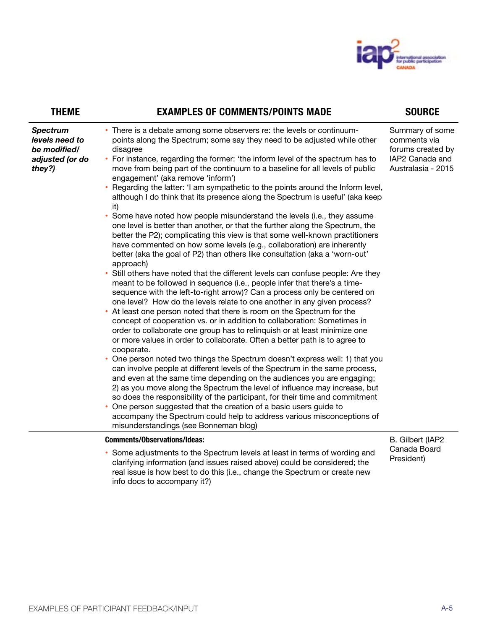

| <b>THEME</b>                                                                   | <b>EXAMPLES OF COMMENTS/POINTS MADE</b>                                                                                                                                                                                                                                                                                                                                                                                                                                                                                                                                                                                                                                                                                                                                                                                                                                                                                                                                                                                                                                                                                                                                                                                                                                                                                                                                                                                                                                                                                                                                                                                                                                                                                                                                                                                                                                                                                                                                                                                                                                                                                                                                                                                             | <b>SOURCE</b>                                                                                 |
|--------------------------------------------------------------------------------|-------------------------------------------------------------------------------------------------------------------------------------------------------------------------------------------------------------------------------------------------------------------------------------------------------------------------------------------------------------------------------------------------------------------------------------------------------------------------------------------------------------------------------------------------------------------------------------------------------------------------------------------------------------------------------------------------------------------------------------------------------------------------------------------------------------------------------------------------------------------------------------------------------------------------------------------------------------------------------------------------------------------------------------------------------------------------------------------------------------------------------------------------------------------------------------------------------------------------------------------------------------------------------------------------------------------------------------------------------------------------------------------------------------------------------------------------------------------------------------------------------------------------------------------------------------------------------------------------------------------------------------------------------------------------------------------------------------------------------------------------------------------------------------------------------------------------------------------------------------------------------------------------------------------------------------------------------------------------------------------------------------------------------------------------------------------------------------------------------------------------------------------------------------------------------------------------------------------------------------|-----------------------------------------------------------------------------------------------|
| <b>Spectrum</b><br>levels need to<br>be modified/<br>adjusted (or do<br>they?) | • There is a debate among some observers re: the levels or continuum-<br>points along the Spectrum; some say they need to be adjusted while other<br>disagree<br>• For instance, regarding the former: 'the inform level of the spectrum has to<br>move from being part of the continuum to a baseline for all levels of public<br>engagement' (aka remove 'inform')<br>• Regarding the latter: 'I am sympathetic to the points around the Inform level,<br>although I do think that its presence along the Spectrum is useful' (aka keep<br>it)<br>Some have noted how people misunderstand the levels (i.e., they assume<br>$\bullet$<br>one level is better than another, or that the further along the Spectrum, the<br>better the P2); complicating this view is that some well-known practitioners<br>have commented on how some levels (e.g., collaboration) are inherently<br>better (aka the goal of P2) than others like consultation (aka a 'worn-out'<br>approach)<br>Still others have noted that the different levels can confuse people: Are they<br>meant to be followed in sequence (i.e., people infer that there's a time-<br>sequence with the left-to-right arrow)? Can a process only be centered on<br>one level? How do the levels relate to one another in any given process?<br>• At least one person noted that there is room on the Spectrum for the<br>concept of cooperation vs. or in addition to collaboration: Sometimes in<br>order to collaborate one group has to relinquish or at least minimize one<br>or more values in order to collaborate. Often a better path is to agree to<br>cooperate.<br>• One person noted two things the Spectrum doesn't express well: 1) that you<br>can involve people at different levels of the Spectrum in the same process,<br>and even at the same time depending on the audiences you are engaging;<br>2) as you move along the Spectrum the level of influence may increase, but<br>so does the responsibility of the participant, for their time and commitment<br>One person suggested that the creation of a basic users guide to<br>accompany the Spectrum could help to address various misconceptions of<br>misunderstandings (see Bonneman blog) | Summary of some<br>comments via<br>forums created by<br>IAP2 Canada and<br>Australasia - 2015 |
|                                                                                | <b>Comments/Observations/Ideas:</b><br>• Some adjustments to the Spectrum levels at least in terms of wording and<br>clarifying information (and issues raised above) could be considered; the<br>real issue is how best to do this (i.e., change the Spectrum or create new<br>info docs to accompany it?)                                                                                                                                                                                                                                                                                                                                                                                                                                                                                                                                                                                                                                                                                                                                                                                                                                                                                                                                                                                                                                                                                                                                                                                                                                                                                                                                                                                                                                                                                                                                                                                                                                                                                                                                                                                                                                                                                                                         | B. Gilbert (IAP2<br>Canada Board<br>President)                                                |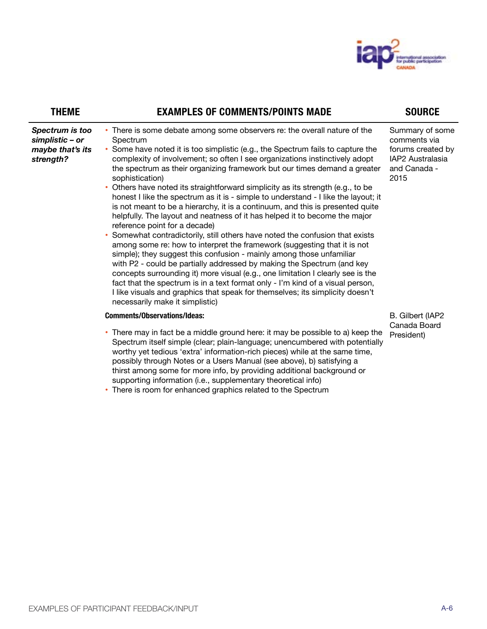

| <b>THEME</b>                                                        | <b>EXAMPLES OF COMMENTS/POINTS MADE</b>                                                                                                                                                                                                                                                                                                                                                                                                                                                                                                                                                                                                                                                                                                                                                                                                                                                                                                                                                                                                                                                                                                                                                                                                                                                                                                   | <b>SOURCE</b>                                                                                    |
|---------------------------------------------------------------------|-------------------------------------------------------------------------------------------------------------------------------------------------------------------------------------------------------------------------------------------------------------------------------------------------------------------------------------------------------------------------------------------------------------------------------------------------------------------------------------------------------------------------------------------------------------------------------------------------------------------------------------------------------------------------------------------------------------------------------------------------------------------------------------------------------------------------------------------------------------------------------------------------------------------------------------------------------------------------------------------------------------------------------------------------------------------------------------------------------------------------------------------------------------------------------------------------------------------------------------------------------------------------------------------------------------------------------------------|--------------------------------------------------------------------------------------------------|
| Spectrum is too<br>simplistic - or<br>maybe that's its<br>strength? | • There is some debate among some observers re: the overall nature of the<br>Spectrum<br>• Some have noted it is too simplistic (e.g., the Spectrum fails to capture the<br>complexity of involvement; so often I see organizations instinctively adopt<br>the spectrum as their organizing framework but our times demand a greater<br>sophistication)<br>• Others have noted its straightforward simplicity as its strength (e.g., to be<br>honest I like the spectrum as it is - simple to understand - I like the layout; it<br>is not meant to be a hierarchy, it is a continuum, and this is presented quite<br>helpfully. The layout and neatness of it has helped it to become the major<br>reference point for a decade)<br>• Somewhat contradictorily, still others have noted the confusion that exists<br>among some re: how to interpret the framework (suggesting that it is not<br>simple); they suggest this confusion - mainly among those unfamiliar<br>with P2 - could be partially addressed by making the Spectrum (and key<br>concepts surrounding it) more visual (e.g., one limitation I clearly see is the<br>fact that the spectrum is in a text format only - I'm kind of a visual person,<br>I like visuals and graphics that speak for themselves; its simplicity doesn't<br>necessarily make it simplistic) | Summary of some<br>comments via<br>forums created by<br>IAP2 Australasia<br>and Canada -<br>2015 |
|                                                                     | <b>Comments/Observations/Ideas:</b><br>• There may in fact be a middle ground here: it may be possible to a) keep the<br>Spectrum itself simple (clear; plain-language; unencumbered with potentially<br>worthy yet tedious 'extra' information-rich pieces) while at the same time,                                                                                                                                                                                                                                                                                                                                                                                                                                                                                                                                                                                                                                                                                                                                                                                                                                                                                                                                                                                                                                                      | B. Gilbert (IAP2<br>Canada Board<br>President)                                                   |

possibly through Notes or a Users Manual (see above), b) satisfying a thirst among some for more info, by providing additional background or

supporting information (i.e., supplementary theoretical info) • There is room for enhanced graphics related to the Spectrum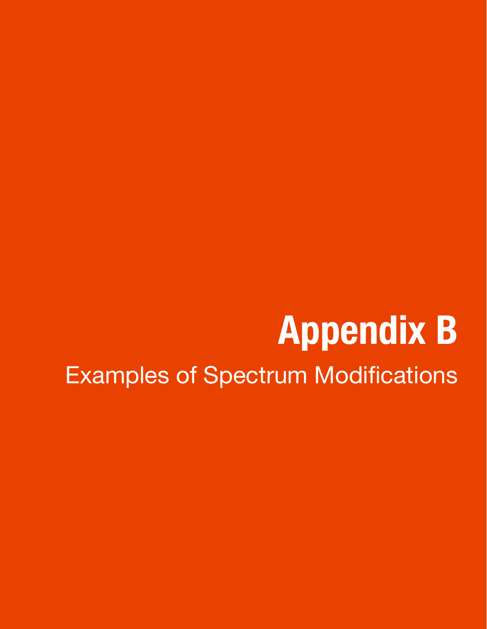# **Appendix B** Examples of Spectrum Modifications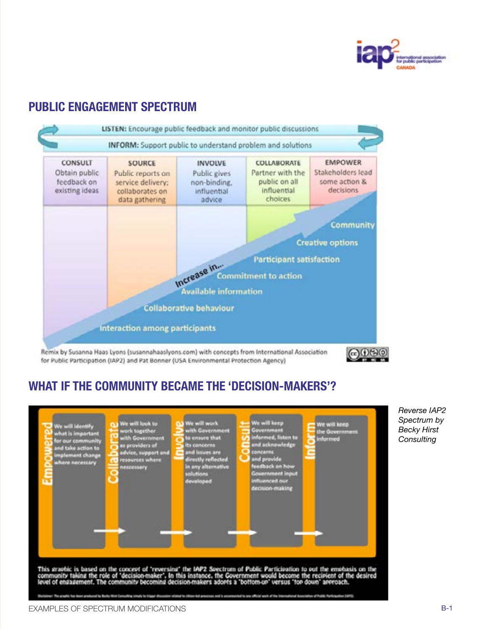

### **PUBLIC ENGAGEMENT SPECTRUM**



for Public Participation (IAP2) and Pat Bonner (USA Environmental Protection Agency)

### ക്രന്തര

### **WHAT IF THE COMMUNITY BECAME THE 'DECISION-MAKERS'?**



*Reverse IAP2 Spectrum by Becky Hirst Consulting*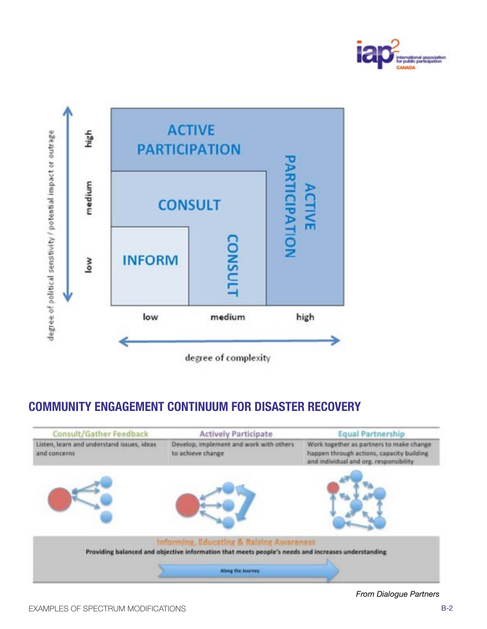



### **COMMUNITY ENGAGEMENT CONTINUUM FOR DISASTER RECOVERY**



*From Dialogue Partners*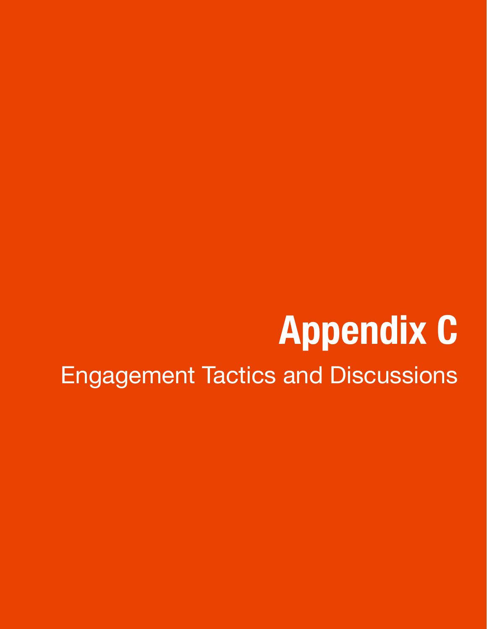# **Appendix C** Engagement Tactics and Discussions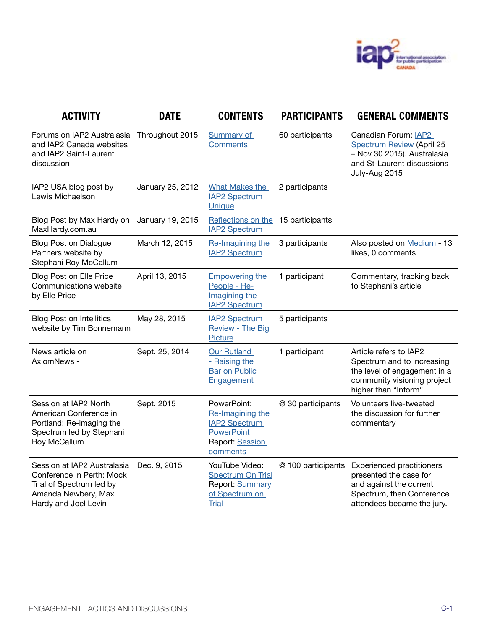

| <b>ACTIVITY</b>                                                                                                                     | <b>DATE</b>      | <b>CONTENTS</b>                                                                                             | <b>PARTICIPANTS</b> | <b>GENERAL COMMENTS</b>                                                                                                                          |
|-------------------------------------------------------------------------------------------------------------------------------------|------------------|-------------------------------------------------------------------------------------------------------------|---------------------|--------------------------------------------------------------------------------------------------------------------------------------------------|
| Forums on IAP2 Australasia<br>and IAP2 Canada websites<br>and IAP2 Saint-Laurent<br>discussion                                      | Throughout 2015  | <b>Summary of</b><br><b>Comments</b>                                                                        | 60 participants     | Canadian Forum: IAP2<br><b>Spectrum Review (April 25</b><br>- Nov 30 2015). Australasia<br>and St-Laurent discussions<br>July-Aug 2015           |
| IAP2 USA blog post by<br>Lewis Michaelson                                                                                           | January 25, 2012 | <b>What Makes the</b><br><b>IAP2 Spectrum</b><br>Unique                                                     | 2 participants      |                                                                                                                                                  |
| Blog Post by Max Hardy on<br>MaxHardy.com.au                                                                                        | January 19, 2015 | Reflections on the 15 participants<br><b>IAP2 Spectrum</b>                                                  |                     |                                                                                                                                                  |
| <b>Blog Post on Dialogue</b><br>Partners website by<br>Stephani Roy McCallum                                                        | March 12, 2015   | Re-Imagining the<br><b>IAP2 Spectrum</b>                                                                    | 3 participants      | Also posted on Medium - 13<br>likes, 0 comments                                                                                                  |
| <b>Blog Post on Elle Price</b><br>Communications website<br>by Elle Price                                                           | April 13, 2015   | <b>Empowering the</b><br>People - Re-<br>Imagining the<br><b>IAP2 Spectrum</b>                              | 1 participant       | Commentary, tracking back<br>to Stephani's article                                                                                               |
| <b>Blog Post on Intellitics</b><br>website by Tim Bonnemann                                                                         | May 28, 2015     | <b>IAP2 Spectrum</b><br>Review - The Big<br><b>Picture</b>                                                  | 5 participants      |                                                                                                                                                  |
| News article on<br>AxiomNews -                                                                                                      | Sept. 25, 2014   | Our Rutland<br>- Raising the<br><b>Bar on Public</b><br>Engagement                                          | 1 participant       | Article refers to IAP2<br>Spectrum and to increasing<br>the level of engagement in a<br>community visioning project<br>higher than "Inform"      |
| Session at IAP2 North<br>American Conference in<br>Portland: Re-imaging the<br>Spectrum led by Stephani<br>Roy McCallum             | Sept. 2015       | PowerPoint:<br>Re-Imagining the<br><b>IAP2 Spectrum</b><br><b>PowerPoint</b><br>Report: Session<br>comments | @ 30 participants   | Volunteers live-tweeted<br>the discussion for further<br>commentary                                                                              |
| Session at IAP2 Australasia<br>Conference in Perth: Mock<br>Trial of Spectrum led by<br>Amanda Newbery, Max<br>Hardy and Joel Levin | Dec. 9, 2015     | YouTube Video:<br><b>Spectrum On Trial</b><br>Report: Summary<br>of Spectrum on<br><b>Trial</b>             | @ 100 participants  | <b>Experienced practitioners</b><br>presented the case for<br>and against the current<br>Spectrum, then Conference<br>attendees became the jury. |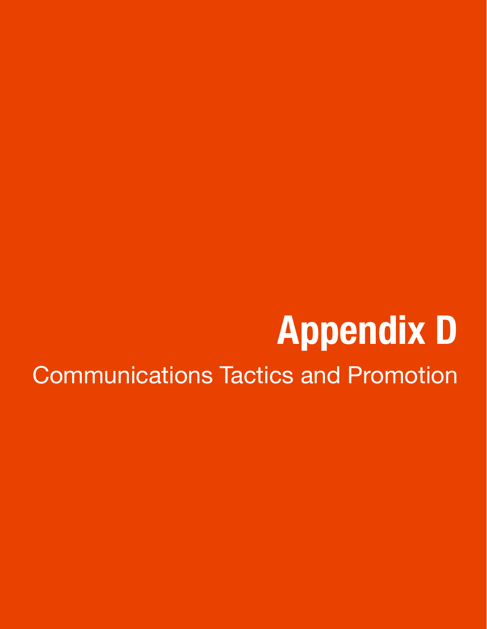# **Appendix D** Communications Tactics and Promotion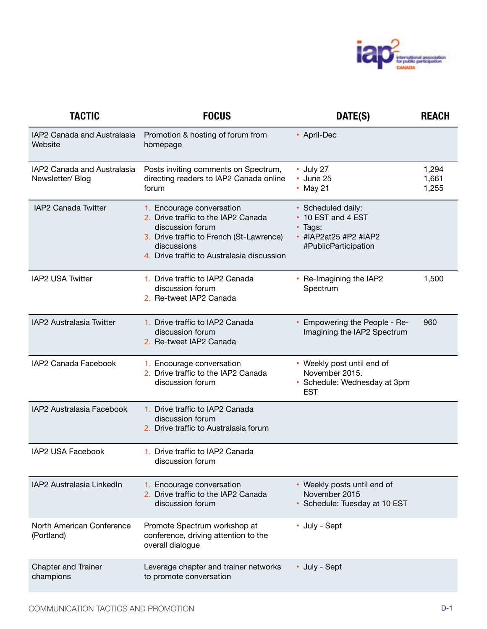

| <b>TACTIC</b>                                  | <b>FOCUS</b>                                                                                                                                                                                  | DATE(S)                                                                                              | <b>REACH</b>            |
|------------------------------------------------|-----------------------------------------------------------------------------------------------------------------------------------------------------------------------------------------------|------------------------------------------------------------------------------------------------------|-------------------------|
| IAP2 Canada and Australasia<br>Website         | Promotion & hosting of forum from<br>homepage                                                                                                                                                 | • April-Dec                                                                                          |                         |
| IAP2 Canada and Australasia<br>Newsletter/Blog | Posts inviting comments on Spectrum,<br>directing readers to IAP2 Canada online<br>forum                                                                                                      | • July 27<br>• June 25<br>• May 21                                                                   | 1,294<br>1,661<br>1,255 |
| IAP2 Canada Twitter                            | 1. Encourage conversation<br>2. Drive traffic to the IAP2 Canada<br>discussion forum<br>3. Drive traffic to French (St-Lawrence)<br>discussions<br>4. Drive traffic to Australasia discussion | • Scheduled daily:<br>• 10 EST and 4 EST<br>• Tags:<br>• #IAP2at25 #P2 #IAP2<br>#PublicParticipation |                         |
| IAP2 USA Twitter                               | 1. Drive traffic to IAP2 Canada<br>discussion forum<br>2. Re-tweet IAP2 Canada                                                                                                                | • Re-Imagining the IAP2<br>Spectrum                                                                  | 1,500                   |
| IAP2 Australasia Twitter                       | 1. Drive traffic to IAP2 Canada<br>discussion forum<br>2. Re-tweet IAP2 Canada                                                                                                                | • Empowering the People - Re-<br>Imagining the IAP2 Spectrum                                         | 960                     |
| IAP2 Canada Facebook                           | 1. Encourage conversation<br>2. Drive traffic to the IAP2 Canada<br>discussion forum                                                                                                          | • Weekly post until end of<br>November 2015.<br>• Schedule: Wednesday at 3pm<br><b>EST</b>           |                         |
| IAP2 Australasia Facebook                      | 1. Drive traffic to IAP2 Canada<br>discussion forum<br>2. Drive traffic to Australasia forum                                                                                                  |                                                                                                      |                         |
| IAP2 USA Facebook                              | 1. Drive traffic to IAP2 Canada<br>discussion forum                                                                                                                                           |                                                                                                      |                         |
| IAP2 Australasia LinkedIn                      | 1. Encourage conversation<br>2. Drive traffic to the IAP2 Canada<br>discussion forum                                                                                                          | • Weekly posts until end of<br>November 2015<br>· Schedule: Tuesday at 10 EST                        |                         |
| North American Conference<br>(Portland)        | Promote Spectrum workshop at<br>conference, driving attention to the<br>overall dialogue                                                                                                      | • July - Sept                                                                                        |                         |
| <b>Chapter and Trainer</b><br>champions        | Leverage chapter and trainer networks<br>to promote conversation                                                                                                                              | • July - Sept                                                                                        |                         |